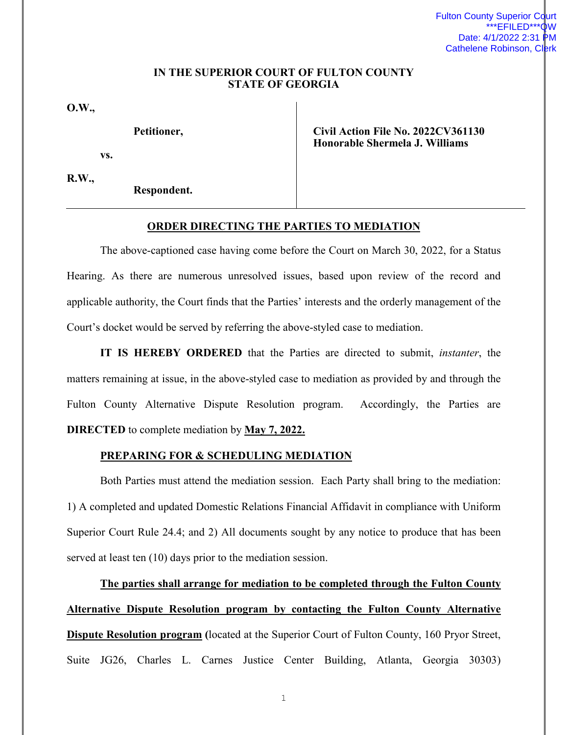## **IN THE SUPERIOR COURT OF FULTON COUNTY STATE OF GEORGIA**

**O.W.,**

**Petitioner,** 

**vs.** 

**R.W.,** 

**Respondent.** 

**Civil Action File No. 2022CV361130 Honorable Shermela J. Williams** 

## **ORDER DIRECTING THE PARTIES TO MEDIATION**

The above-captioned case having come before the Court on March 30, 2022, for a Status Hearing. As there are numerous unresolved issues, based upon review of the record and applicable authority, the Court finds that the Parties' interests and the orderly management of the Court's docket would be served by referring the above-styled case to mediation.

**IT IS HEREBY ORDERED** that the Parties are directed to submit, *instanter*, the matters remaining at issue, in the above-styled case to mediation as provided by and through the Fulton County Alternative Dispute Resolution program. Accordingly, the Parties are **DIRECTED** to complete mediation by **May 7, 2022.** 

## **PREPARING FOR & SCHEDULING MEDIATION**

Both Parties must attend the mediation session. Each Party shall bring to the mediation: 1) A completed and updated Domestic Relations Financial Affidavit in compliance with Uniform Superior Court Rule 24.4; and 2) All documents sought by any notice to produce that has been served at least ten (10) days prior to the mediation session.

**The parties shall arrange for mediation to be completed through the Fulton County Alternative Dispute Resolution program by contacting the Fulton County Alternative Dispute Resolution program (**located at the Superior Court of Fulton County, 160 Pryor Street, Suite JG26, Charles L. Carnes Justice Center Building, Atlanta, Georgia 30303)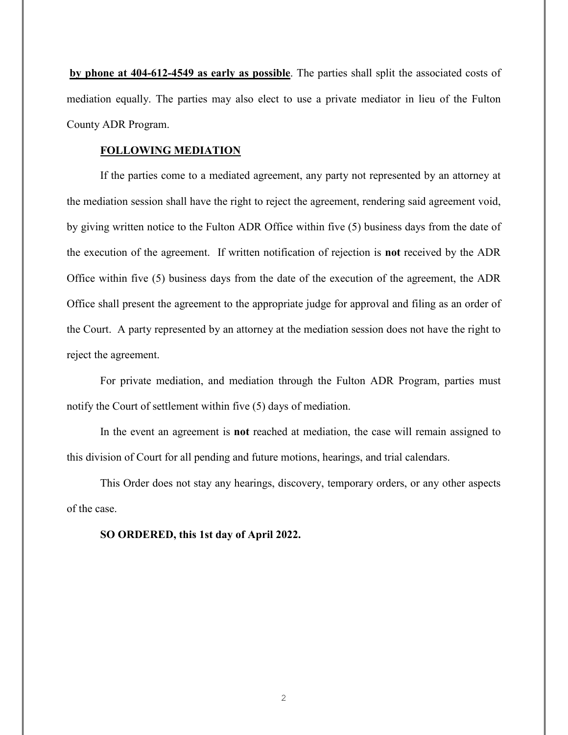**by phone at 404-612-4549 as early as possible**. The parties shall split the associated costs of mediation equally. The parties may also elect to use a private mediator in lieu of the Fulton County ADR Program.

## **FOLLOWING MEDIATION**

If the parties come to a mediated agreement, any party not represented by an attorney at the mediation session shall have the right to reject the agreement, rendering said agreement void, by giving written notice to the Fulton ADR Office within five (5) business days from the date of the execution of the agreement. If written notification of rejection is **not** received by the ADR Office within five (5) business days from the date of the execution of the agreement, the ADR Office shall present the agreement to the appropriate judge for approval and filing as an order of the Court. A party represented by an attorney at the mediation session does not have the right to reject the agreement.

For private mediation, and mediation through the Fulton ADR Program, parties must notify the Court of settlement within five (5) days of mediation.

In the event an agreement is **not** reached at mediation, the case will remain assigned to this division of Court for all pending and future motions, hearings, and trial calendars.

This Order does not stay any hearings, discovery, temporary orders, or any other aspects of the case.

**SO ORDERED, this 1st day of April 2022.**